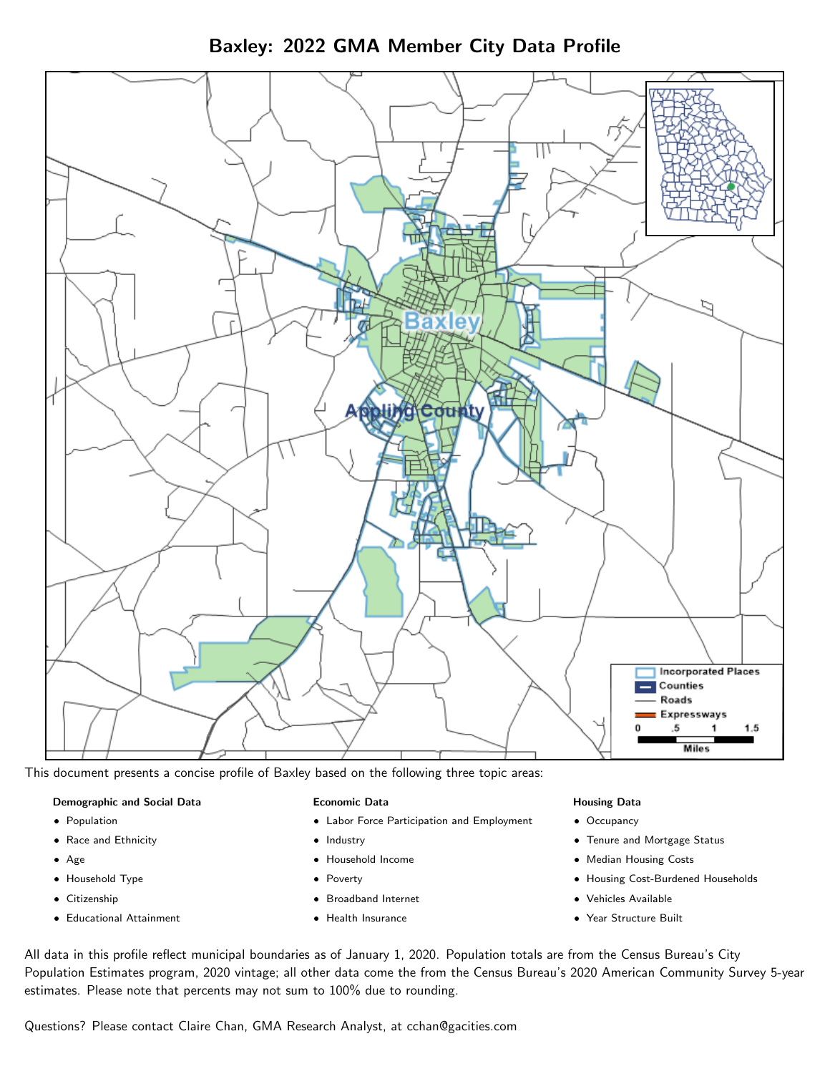Baxley: 2022 GMA Member City Data Profile



This document presents a concise profile of Baxley based on the following three topic areas:

#### Demographic and Social Data

- **•** Population
- Race and Ethnicity
- Age
- Household Type
- **Citizenship**
- Educational Attainment

#### Economic Data

- Labor Force Participation and Employment
- Industry
- Household Income
- Poverty
- Broadband Internet
- Health Insurance

#### Housing Data

- Occupancy
- Tenure and Mortgage Status
- Median Housing Costs
- Housing Cost-Burdened Households
- Vehicles Available
- Year Structure Built

All data in this profile reflect municipal boundaries as of January 1, 2020. Population totals are from the Census Bureau's City Population Estimates program, 2020 vintage; all other data come the from the Census Bureau's 2020 American Community Survey 5-year estimates. Please note that percents may not sum to 100% due to rounding.

Questions? Please contact Claire Chan, GMA Research Analyst, at [cchan@gacities.com.](mailto:cchan@gacities.com)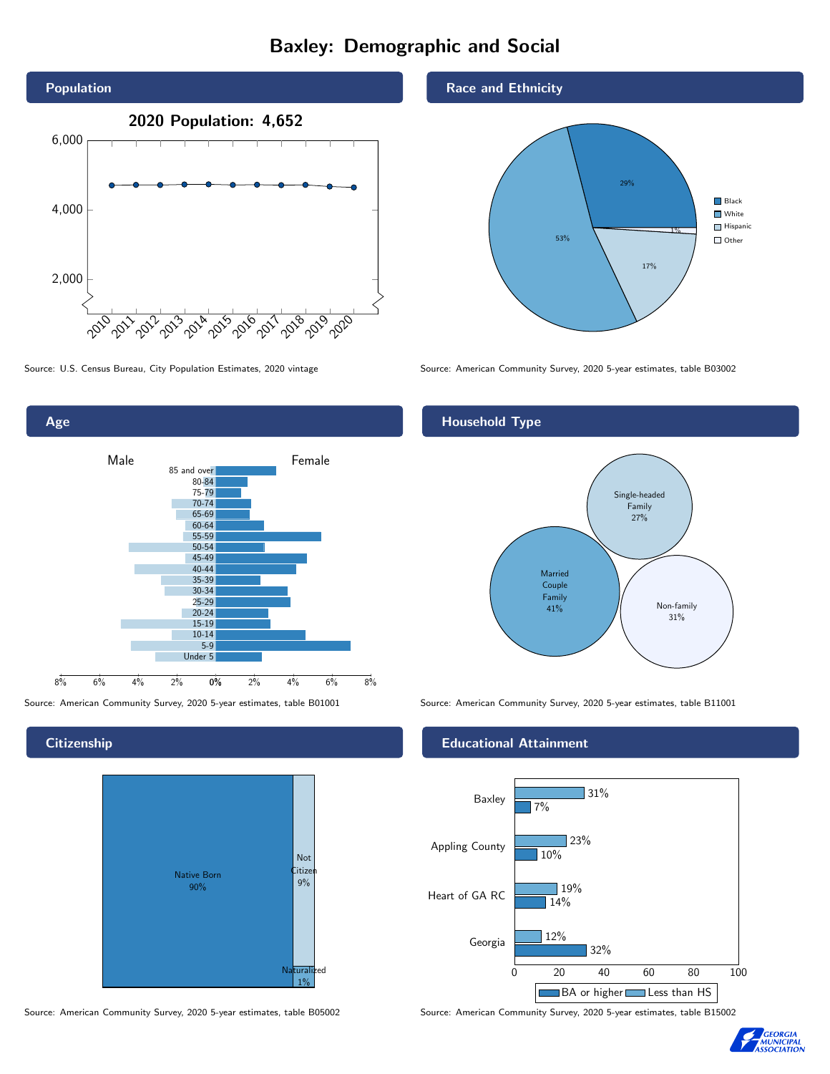# Baxley: Demographic and Social





**Citizenship** 



Source: American Community Survey, 2020 5-year estimates, table B05002 Source: American Community Survey, 2020 5-year estimates, table B15002

#### Race and Ethnicity



Source: U.S. Census Bureau, City Population Estimates, 2020 vintage Source: American Community Survey, 2020 5-year estimates, table B03002

## Household Type



Source: American Community Survey, 2020 5-year estimates, table B01001 Source: American Community Survey, 2020 5-year estimates, table B11001

#### Educational Attainment



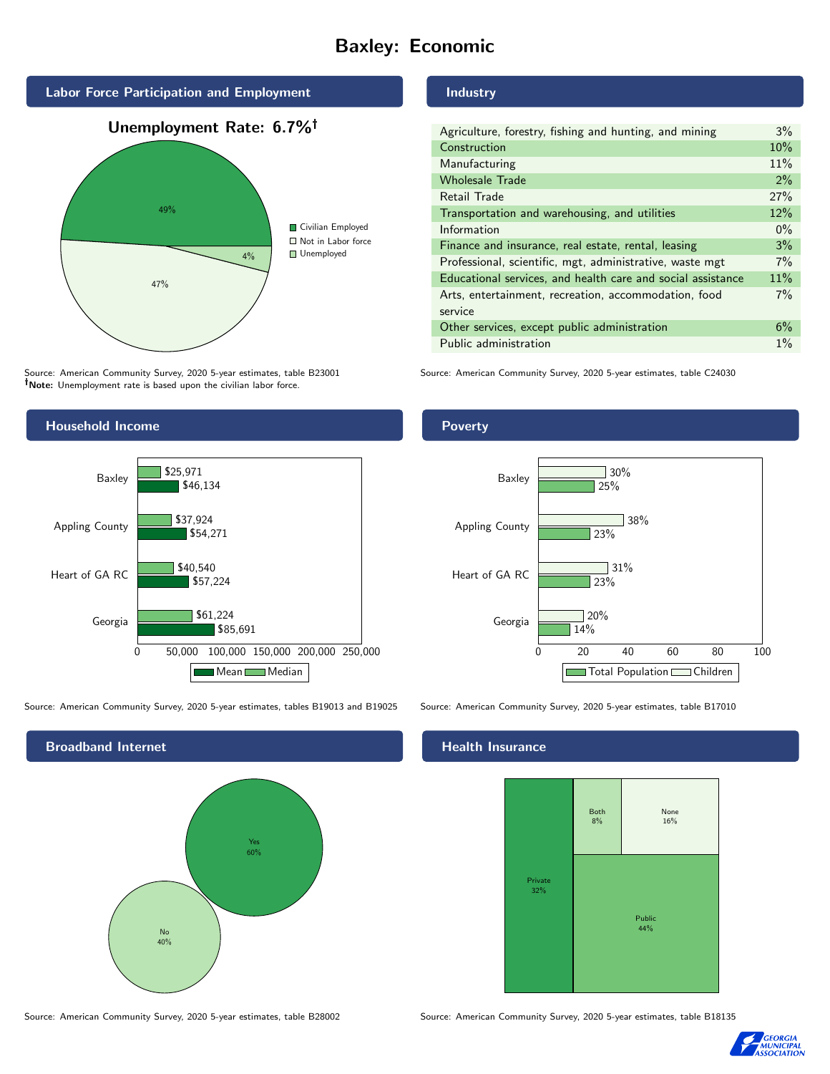# Baxley: Economic



Source: American Community Survey, 2020 5-year estimates, table B23001 Note: Unemployment rate is based upon the civilian labor force.

#### Industry

| Agriculture, forestry, fishing and hunting, and mining      | 3%    |
|-------------------------------------------------------------|-------|
| Construction                                                | 10%   |
| Manufacturing                                               | 11%   |
| <b>Wholesale Trade</b>                                      | 2%    |
| Retail Trade                                                | 27%   |
| Transportation and warehousing, and utilities               | 12%   |
| Information                                                 | $0\%$ |
| Finance and insurance, real estate, rental, leasing         | 3%    |
| Professional, scientific, mgt, administrative, waste mgt    | $7\%$ |
| Educational services, and health care and social assistance | 11%   |
| Arts, entertainment, recreation, accommodation, food        | $7\%$ |
| service                                                     |       |
| Other services, except public administration                | 6%    |
| Public administration                                       | $1\%$ |
|                                                             |       |

Source: American Community Survey, 2020 5-year estimates, table C24030



Source: American Community Survey, 2020 5-year estimates, tables B19013 and B19025 Source: American Community Survey, 2020 5-year estimates, table B17010

Broadband Internet No 40% Yes 60%

#### Health Insurance



Source: American Community Survey, 2020 5-year estimates, table B28002 Source: American Community Survey, 2020 5-year estimates, table B18135



## **Poverty**